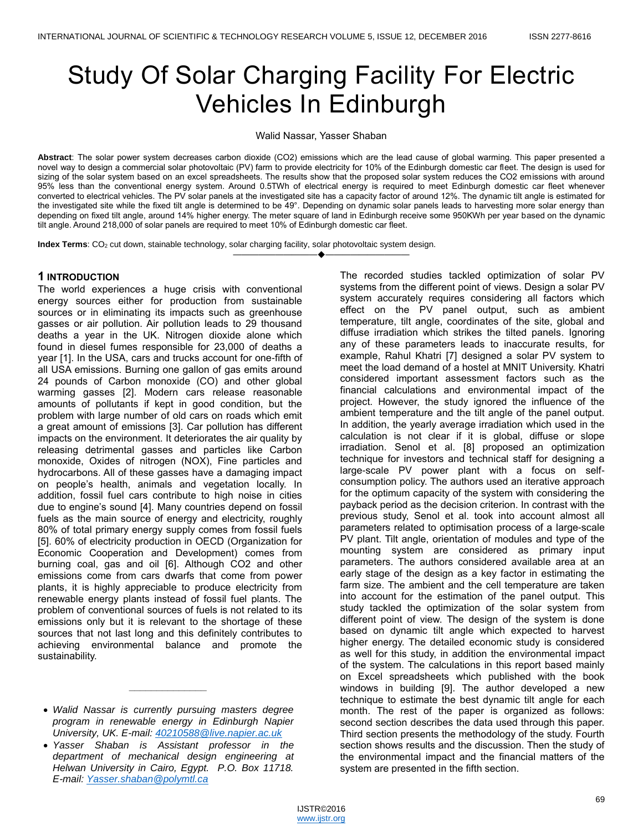# Study Of Solar Charging Facility For Electric Vehicles In Edinburgh

#### Walid Nassar, Yasser Shaban

**Abstract**: The solar power system decreases carbon dioxide (CO2) emissions which are the lead cause of global warming. This paper presented a novel way to design a commercial solar photovoltaic (PV) farm to provide electricity for 10% of the Edinburgh domestic car fleet. The design is used for sizing of the solar system based on an excel spreadsheets. The results show that the proposed solar system reduces the CO2 emissions with around 95% less than the conventional energy system. Around 0.5TWh of electrical energy is required to meet Edinburgh domestic car fleet whenever converted to electrical vehicles. The PV solar panels at the investigated site has a capacity factor of around 12%. The dynamic tilt angle is estimated for the investigated site while the fixed tilt angle is determined to be 49°. Depending on dynamic solar panels leads to harvesting more solar energy than depending on fixed tilt angle, around 14% higher energy. The meter square of land in Edinburgh receive some 950KWh per year based on the dynamic tilt angle. Around 218,000 of solar panels are required to meet 10% of Edinburgh domestic car fleet.

————————————————————

**Index Terms**: CO<sub>2</sub> cut down, stainable technology, solar charging facility, solar photovoltaic system design.

# **1 INTRODUCTION**

The world experiences a huge crisis with conventional energy sources either for production from sustainable sources or in eliminating its impacts such as greenhouse gasses or air pollution. Air pollution leads to 29 thousand deaths a year in the UK. Nitrogen dioxide alone which found in diesel fumes responsible for 23,000 of deaths a year [1]. In the USA, cars and trucks account for one-fifth of all USA emissions. Burning one gallon of gas emits around 24 pounds of Carbon monoxide (CO) and other global warming gasses [2]. Modern cars release reasonable amounts of pollutants if kept in good condition, but the problem with large number of old cars on roads which emit a great amount of emissions [3]. Car pollution has different impacts on the environment. It deteriorates the air quality by releasing detrimental gasses and particles like Carbon monoxide, Oxides of nitrogen (NOX), Fine particles and hydrocarbons. All of these gasses have a damaging impact on people's health, animals and vegetation locally. In addition, fossil fuel cars contribute to high noise in cities due to engine's sound [4]. Many countries depend on fossil fuels as the main source of energy and electricity, roughly 80% of total primary energy supply comes from fossil fuels [5]. 60% of electricity production in OECD (Organization for Economic Cooperation and Development) comes from burning coal, gas and oil [6]. Although CO2 and other emissions come from cars dwarfs that come from power plants, it is highly appreciable to produce electricity from renewable energy plants instead of fossil fuel plants. The problem of conventional sources of fuels is not related to its emissions only but it is relevant to the shortage of these sources that not last long and this definitely contributes to achieving environmental balance and promote the sustainability.

*\_\_\_\_\_\_\_\_\_\_\_\_\_\_*

The recorded studies tackled optimization of solar PV systems from the different point of views. Design a solar PV system accurately requires considering all factors which effect on the PV panel output, such as ambient temperature, tilt angle, coordinates of the site, global and diffuse irradiation which strikes the tilted panels. Ignoring any of these parameters leads to inaccurate results, for example, Rahul Khatri [7] designed a solar PV system to meet the load demand of a hostel at MNIT University. Khatri considered important assessment factors such as the financial calculations and environmental impact of the project. However, the study ignored the influence of the ambient temperature and the tilt angle of the panel output. In addition, the yearly average irradiation which used in the calculation is not clear if it is global, diffuse or slope irradiation. Senol et al. [8] proposed an optimization technique for investors and technical staff for designing a large-scale PV power plant with a focus on selfconsumption policy. The authors used an iterative approach for the optimum capacity of the system with considering the payback period as the decision criterion. In contrast with the previous study, Senol et al. took into account almost all parameters related to optimisation process of a large-scale PV plant. Tilt angle, orientation of modules and type of the mounting system are considered as primary input parameters. The authors considered available area at an early stage of the design as a key factor in estimating the farm size. The ambient and the cell temperature are taken into account for the estimation of the panel output. This study tackled the optimization of the solar system from different point of view. The design of the system is done based on dynamic tilt angle which expected to harvest higher energy. The detailed economic study is considered as well for this study, in addition the environmental impact of the system. The calculations in this report based mainly on Excel spreadsheets which published with the book windows in building [9]. The author developed a new technique to estimate the best dynamic tilt angle for each month. The rest of the paper is organized as follows: second section describes the data used through this paper. Third section presents the methodology of the study. Fourth section shows results and the discussion. Then the study of the environmental impact and the financial matters of the system are presented in the fifth section.

*Walid Nassar is currently pursuing masters degree program in renewable energy in Edinburgh Napier University, UK. E-mail: 40210588@live.napier.ac.uk*

*Yasser Shaban is Assistant professor in the department of mechanical design engineering at Helwan University in Cairo, Egypt. P.O. Box 11718. E-mail: Yasser.shaban@polymtl.ca*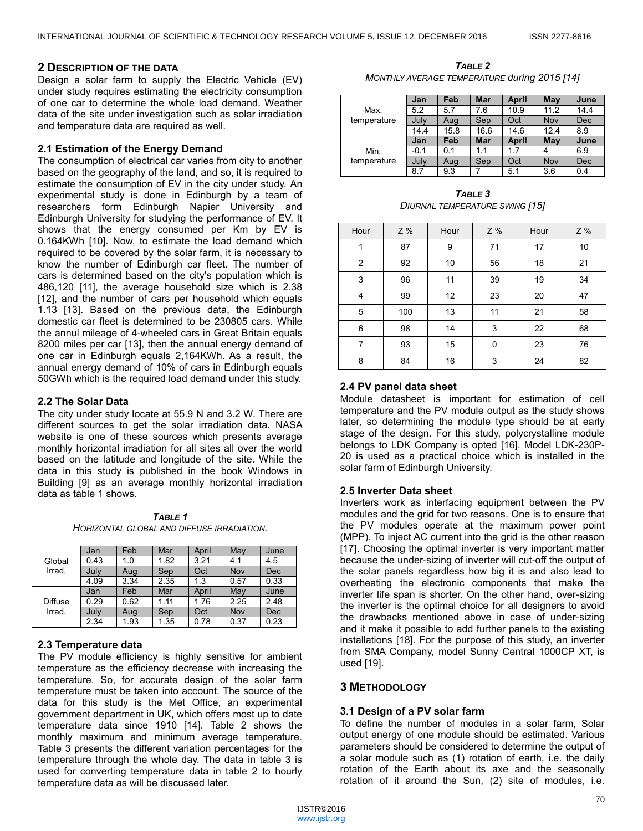## **2 DESCRIPTION OF THE DATA**

Design a solar farm to supply the Electric Vehicle (EV) under study requires estimating the electricity consumption of one car to determine the whole load demand. Weather data of the site under investigation such as solar irradiation and temperature data are required as well.

## **2.1 Estimation of the Energy Demand**

The consumption of electrical car varies from city to another based on the geography of the land, and so, it is required to estimate the consumption of EV in the city under study. An experimental study is done in Edinburgh by a team of researchers form Edinburgh Napier University and Edinburgh University for studying the performance of EV. It shows that the energy consumed per Km by EV is 0.164KWh [10]. Now, to estimate the load demand which required to be covered by the solar farm, it is necessary to know the number of Edinburgh car fleet. The number of cars is determined based on the city's population which is 486,120 [11], the average household size which is 2.38 [12], and the number of cars per household which equals 1.13 [13]. Based on the previous data, the Edinburgh domestic car fleet is determined to be 230805 cars. While the annul mileage of 4-wheeled cars in Great Britain equals 8200 miles per car [13], then the annual energy demand of one car in Edinburgh equals 2,164KWh. As a result, the annual energy demand of 10% of cars in Edinburgh equals 50GWh which is the required load demand under this study.

## **2.2 The Solar Data**

The city under study locate at 55.9 N and 3.2 W. There are different sources to get the solar irradiation data. NASA website is one of these sources which presents average monthly horizontal irradiation for all sites all over the world based on the latitude and longitude of the site. While the data in this study is published in the book Windows in Building [9] as an average monthly horizontal irradiation data as table 1 shows.

*TABLE 1 HORIZONTAL GLOBAL AND DIFFUSE IRRADIATION.*

|                | Jan  | Feb  | Mar  | April | May  | June |
|----------------|------|------|------|-------|------|------|
| Global         | 0.43 | 1.0  | 1.82 | 3.21  | 4.1  | 4.5  |
| Irrad.         | July | Aug  | Sep  | Oct   | Nov  | Dec  |
|                | 4.09 | 3.34 | 2.35 | 1.3   | 0.57 | 0.33 |
|                | Jan  | Feb  | Mar  | April | May  | June |
| <b>Diffuse</b> | 0.29 | 0.62 | 1.11 | 1.76  | 2.25 | 2.48 |
| Irrad.         | July | Aug  | Sep  | Oct   | Nov  | Dec  |
|                | 2.34 | 1.93 | 1.35 | 0.78  | 0.37 | 0.23 |

# **2.3 Temperature data**

The PV module efficiency is highly sensitive for ambient temperature as the efficiency decrease with increasing the temperature. So, for accurate design of the solar farm temperature must be taken into account. The source of the data for this study is the Met Office, an experimental government department in UK, which offers most up to date temperature data since 1910 [14]. Table 2 shows the monthly maximum and minimum average temperature. Table 3 presents the different variation percentages for the temperature through the whole day. The data in table 3 is used for converting temperature data in table 2 to hourly temperature data as will be discussed later.

*TABLE 2 MONTHLY AVERAGE TEMPERATURE during 2015 [14]*

|             | Jan    | Feb  | <b>Mar</b> | <b>April</b> | May  | June |
|-------------|--------|------|------------|--------------|------|------|
| Max.        | 5.2    | 5.7  | 7.6        | 10.9         | 11.2 | 14.4 |
| temperature | July   | Aug  | Sep        | Oct          | Nov  | Dec  |
|             | 14.4   | 15.8 | 16.6       | 14.6         | 12.4 | 8.9  |
|             | Jan    | Feb  | Mar        | <b>April</b> | May  | June |
| Min.        | $-0.1$ | 0.1  | 1.1        | 17           |      | 6.9  |
| temperature | July   | Aug  | Sep        | Oct          | Nov  | Dec  |
|             | 8.7    | 9.3  |            | 5.1          | 3.6  | 0.4  |

*TABLE 3 DIURNAL TEMPERATURE SWING [15]*

| Hour           | Z % | Hour | Z % | Hour | Z % |
|----------------|-----|------|-----|------|-----|
| 1              | 87  | 9    | 71  | 17   | 10  |
| $\overline{c}$ | 92  | 10   | 56  | 18   | 21  |
| 3              | 96  | 11   | 39  | 19   | 34  |
| 4              | 99  | 12   | 23  | 20   | 47  |
| 5              | 100 | 13   | 11  | 21   | 58  |
| 6              | 98  | 14   | 3   | 22   | 68  |
| 7              | 93  | 15   | 0   | 23   | 76  |
| 8              | 84  | 16   | 3   | 24   | 82  |

# **2.4 PV panel data sheet**

Module datasheet is important for estimation of cell temperature and the PV module output as the study shows later, so determining the module type should be at early stage of the design. For this study, polycrystalline module belongs to LDK Company is opted [16]. Model LDK-230P-20 is used as a practical choice which is installed in the solar farm of Edinburgh University.

# **2.5 Inverter Data sheet**

Inverters work as interfacing equipment between the PV modules and the grid for two reasons. One is to ensure that the PV modules operate at the maximum power point (MPP). To inject AC current into the grid is the other reason [17]. Choosing the optimal inverter is very important matter because the under-sizing of inverter will cut-off the output of the solar panels regardless how big it is and also lead to overheating the electronic components that make the inverter life span is shorter. On the other hand, over-sizing the inverter is the optimal choice for all designers to avoid the drawbacks mentioned above in case of under-sizing and it make it possible to add further panels to the existing installations [18]. For the purpose of this study, an inverter from SMA Company, model Sunny Central 1000CP XT, is used [19].

# **3 METHODOLOGY**

#### **3.1 Design of a PV solar farm**

To define the number of modules in a solar farm, Solar output energy of one module should be estimated. Various parameters should be considered to determine the output of a solar module such as (1) rotation of earth, i.e. the daily rotation of the Earth about its axe and the seasonally rotation of it around the Sun, (2) site of modules, i.e.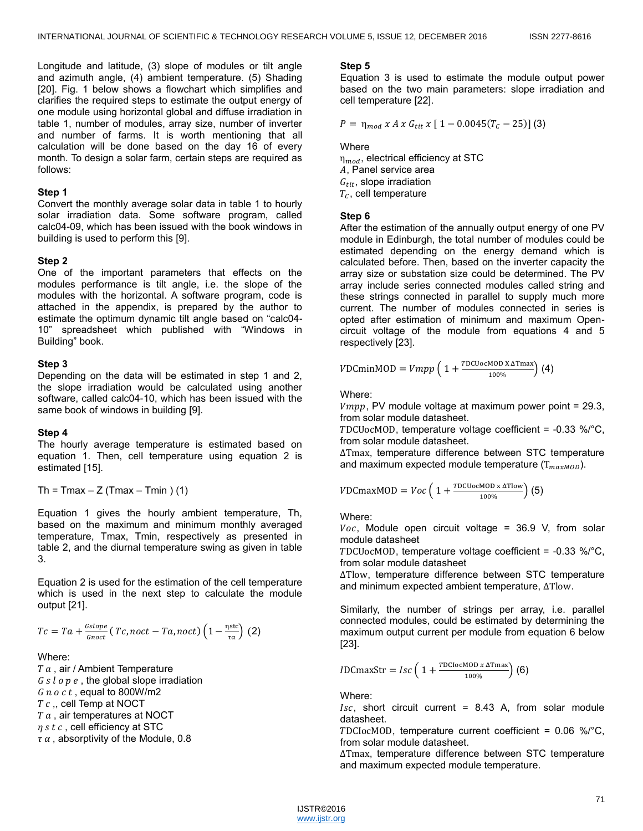Longitude and latitude, (3) slope of modules or tilt angle and azimuth angle, (4) ambient temperature. (5) Shading [20]. Fig. 1 below shows a flowchart which simplifies and clarifies the required steps to estimate the output energy of one module using horizontal global and diffuse irradiation in table 1, number of modules, array size, number of inverter and number of farms. It is worth mentioning that all calculation will be done based on the day 16 of every month. To design a solar farm, certain steps are required as follows:

## **Step 1**

Convert the monthly average solar data in table 1 to hourly solar irradiation data. Some software program, called calc04-09, which has been issued with the book windows in building is used to perform this [9].

## **Step 2**

One of the important parameters that effects on the modules performance is tilt angle, i.e. the slope of the modules with the horizontal. A software program, code is attached in the appendix, is prepared by the author to estimate the optimum dynamic tilt angle based on "calc04-10" spreadsheet which published with "Windows in Building" book.

## **Step 3**

Depending on the data will be estimated in step 1 and 2, the slope irradiation would be calculated using another software, called calc04-10, which has been issued with the same book of windows in building [9].

#### **Step 4**

The hourly average temperature is estimated based on equation 1. Then, cell temperature using equation 2 is estimated [15].

```
Th = Tmax - Z (Tmax - Tmin ) (1)
```
Equation 1 gives the hourly ambient temperature, Th, based on the maximum and minimum monthly averaged temperature, Tmax, Tmin, respectively as presented in table 2, and the diurnal temperature swing as given in table 3.

Equation 2 is used for the estimation of the cell temperature which is used in the next step to calculate the module output [21].

$$
Tc = Ta + \frac{Gslope}{Gnoc} (Tc, noct - Ta, noct) \left(1 - \frac{\eta \text{stc}}{\tau \alpha}\right) (2)
$$

# Where:

 $T a$ , air / Ambient Temperature  $G s l o p e$ , the global slope irradiation  $G$  *n*  $o$   $c$   $t$ , equal to 800W/m2  $T c$ , cell Temp at NOCT  $T a$ , air temperatures at NOCT  $\eta s t c$ , cell efficiency at STC  $\tau \alpha$ , absorptivity of the Module, 0.8

## **Step 5**

Equation 3 is used to estimate the module output power based on the two main parameters: slope irradiation and cell temperature [22].

$$
P = \eta_{mod} \times A \times G_{tit} \times [1 - 0.0045(T_c - 25)] \text{ (3)}
$$

**Where** 

 $\eta_{mod}$ , electrical efficiency at STC , Panel service area  $G<sub>tit</sub>$ , slope irradiation  $T_c$ , cell temperature

## **Step 6**

After the estimation of the annually output energy of one PV module in Edinburgh, the total number of modules could be estimated depending on the energy demand which is calculated before. Then, based on the inverter capacity the array size or substation size could be determined. The PV array include series connected modules called string and these strings connected in parallel to supply much more current. The number of modules connected in series is opted after estimation of minimum and maximum Opencircuit voltage of the module from equations 4 and 5 respectively [23].

$$
VDCminMOD = Vmpp \left( 1 + \frac{TDCUocMOD X\Delta Tmax}{100\%} \right) (4)
$$

Where:

 $Vmpp$ , PV module voltage at maximum power point = 29.3, from solar module datasheet.

TDCUocMOD, temperature voltage coefficient =  $-0.33$  %/°C, from solar module datasheet.

ΔTmax, temperature difference between STC temperature and maximum expected module temperature  $(T_{maxMOD})$ .

$$
VDCmaxMOD = Voc\left(1 + \frac{TDCUocMOD \times \Delta Tlow}{100\%}\right)
$$
 (5)

Where:

 $Voc$ , Module open circuit voltage = 36.9 V, from solar module datasheet

DCUocMOD, temperature voltage coefficient = -0.33 %/°C, from solar module datasheet

ΔTlow, temperature difference between STC temperature and minimum expected ambient temperature, ΔTlow.

Similarly, the number of strings per array, i.e. parallel connected modules, could be estimated by determining the maximum output current per module from equation 6 below [23].

$$
IDCmaxStr = Isc \left( 1 + \frac{TDClocMOD x \Delta Tmax}{100\%} \right) (6)
$$

Where:

 $Isc$ , short circuit current = 8.43 A, from solar module datasheet.

TDCIocMOD, temperature current coefficient =  $0.06 \text{ %}$ °C, from solar module datasheet.

ΔTmax, temperature difference between STC temperature and maximum expected module temperature.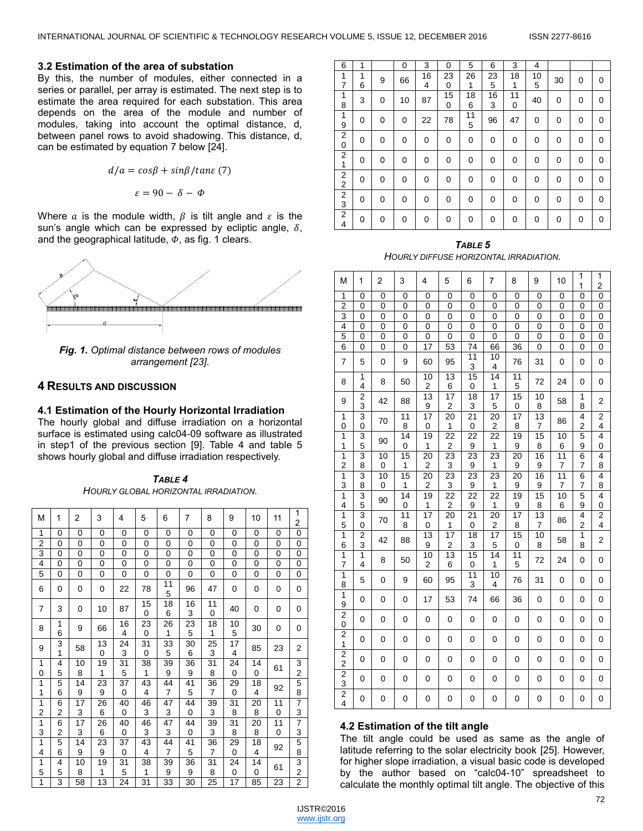#### **3.2 Estimation of the area of substation**

By this, the number of modules, either connected in a series or parallel, per array is estimated. The next step is to estimate the area required for each substation. This area depends on the area of the module and number of modules, taking into account the optimal distance, d, between panel rows to avoid shadowing. This distance, d, can be estimated by equation 7 below [24].

$$
d/a = cos\beta + sin\beta/tane
$$
 (7)

$$
\varepsilon=90-\delta-\varPhi
$$

Where a is the module width,  $\beta$  is tilt angle and  $\varepsilon$  is the sun's angle which can be expressed by ecliptic angle,  $\delta$ , and the geographical latitude,  $\varphi$ , as fig. 1 clears.



*Fig. 1. Optimal distance between rows of modules arrangement [23].* 

## **RESULTS AND DISCUSSION**

#### **4.1 Estimation of the Hourly Horizontal Irradiation**

The hourly global and diffuse irradiation on a horizontal surface is estimated using [calc04-09](file://napier-mail.napier.ac.uk/students/school%20of%20engineering%20and%20the%20built%20environment/user%20data/40210588/the%20Project/Thesis%20Draft/39-%20Calc4-09.xls) software as illustrated in step1 of the previous section [9]. Table 4 and table 5 shows hourly global and diffuse irradiation respectively.

*TABLE 4 HOURLY GLOBAL HORIZONTAL IRRADIATION.*

| М              | 1      | 2  | 3        | 4            | 5              | 6              | 7        | 8              | 9        | 10       | 11       | 1<br>2         |
|----------------|--------|----|----------|--------------|----------------|----------------|----------|----------------|----------|----------|----------|----------------|
| 1              | 0      | 0  | $\Omega$ | $\Omega$     | $\Omega$       | $\Omega$       | $\Omega$ | 0              | $\Omega$ | $\Omega$ | 0        | 0              |
| $\overline{2}$ | 0      | 0  | 0        | 0            | 0              | 0              | 0        | 0              | 0        | 0        | 0        | 0              |
| 3              | 0      | 0  | 0        | 0            | 0              | 0              | 0        | 0              | 0        | 0        | 0        | 0              |
| 4              | 0      | 0  | 0        | $\mathbf{0}$ | 0              | 0              | 0        | 0              | 0        | 0        | 0        | 0              |
| 5              | 0      | 0  | 0        | 0            | 0              | 0              | 0        | 0              | 0        | 0        | 0        | 0              |
| 6              | 0      | 0  | 0        | 22           | 78             | 11<br>5        | 96       | 47             | 0        | 0        | 0        | 0              |
| 7              | 3      | 0  | 10       | 87           | 15<br>0        | 18<br>6        | 16<br>3  | 11<br>0        | 40       | 0        | 0        | 0              |
| 8              | 1<br>6 | 9  | 66       | 16<br>4      | 23<br>$\Omega$ | 26<br>1        | 23<br>5  | 18<br>1        | 10<br>5  | 30       | 0        | 0              |
| 9              | 3<br>1 | 58 | 13<br>0  | 24<br>3      | 31<br>0        | 33<br>5        | 30<br>6  | 25<br>3        | 17<br>4  | 85       | 23       | 2              |
| 1              | 4      | 10 | 19       | 31           | 38             | 39             | 36       | 31             | 24       | 14       | 61       | 3              |
| 0              | 5      | 8  | 1        | 5            | 1              | 9              | 9        | 8              | 0        | 0        |          | $\overline{2}$ |
| 1              | 5      | 14 | 23       | 37           | 43             | 44             | 41       | 36             | 29       | 18       | 92       | 5              |
| 1              | 6      | 9  | 9        | 0            | 4              | 7              | 5        | 7              | 0        | 4        |          | 8              |
| 1              | 6      | 17 | 26       | 40           | 46             | 47             | 44       | 39             | 31       | 20       | 11       | $\overline{7}$ |
| 2              | 2      | 3  | 6        | $\Omega$     | 3              | 3              | $\Omega$ | 3              | 8        | 8        | $\Omega$ | 3              |
| 1              | 6      | 17 | 26       | 40           | 46             | 47             | 44       | 39             | 31       | 20       | 11       | $\overline{7}$ |
| 3              | 2      | 3  | 6        | 0            | 3              | 3              | 0        | 3              | 8        | 8        | 0        | 3              |
| 1              | 5      | 14 | 23       | 37           | 43             | 44             | 41       | 36             | 29       | 18       | 92       | 5              |
| 4              | 6      | 9  | 9        | 0            | 4              | $\overline{7}$ | 5        | $\overline{7}$ | 0        | 4        |          | 8              |
| 1              | 4      | 10 | 19       | 31           | 38             | 39             | 36       | 31             | 24       | 14       | 61       | 3              |
| 5              | 5      | 8  | 1        | 5            | 1              | 9              | 9        | 8              | 0        | 0        |          | $\overline{2}$ |
| 1              | 3      | 58 | 13       | 24           | 31             | 33             | 30       | 25             | 17       | 85       | 23       | $\overline{2}$ |

| 6                   | 1        |   | 0  | 3        | 0       | 5       | 6       | 3       | 4       |    |   |   |
|---------------------|----------|---|----|----------|---------|---------|---------|---------|---------|----|---|---|
| 1<br>7              | 1<br>6   | 9 | 66 | 16<br>4  | 23<br>0 | 26<br>1 | 23<br>5 | 18<br>1 | 10<br>5 | 30 | 0 | 0 |
| 1<br>8              | 3        | 0 | 10 | 87       | 15<br>0 | 18<br>6 | 16<br>3 | 11<br>0 | 40      | 0  | 0 | 0 |
| 1<br>9              | 0        | 0 | 0  | 22       | 78      | 11<br>5 | 96      | 47      | 0       | 0  | 0 | 0 |
| $\overline{2}$<br>0 | 0        | 0 | 0  | 0        | 0       | 0       | 0       | 0       | 0       | 0  | 0 | 0 |
| 2<br>1              | $\Omega$ | 0 | 0  | 0        | 0       | 0       | 0       | 0       | 0       | 0  | 0 | 0 |
| 2<br>$\overline{2}$ | 0        | 0 | 0  | 0        | 0       | 0       | 0       | 0       | 0       | 0  | 0 | 0 |
| $\overline{2}$<br>3 | $\Omega$ | 0 | 0  | 0        | 0       | 0       | 0       | 0       | 0       | 0  | 0 | 0 |
| $\overline{2}$<br>4 | 0        | 0 | 0  | $\Omega$ | 0       | 0       | 0       | 0       | 0       | 0  | 0 | 0 |

*TABLE 5 HOURLY DIFFUSE HORIZONTAL IRRADIATION.*

| М                                      | 1                   | 2                 | 3                    | 4                             | 5                                          | 6                    | $\overline{7}$          | 8                              | 9                    | 10              | 1<br>$\mathbf{1}$            | 1<br>$\overline{\mathbf{c}}$ |
|----------------------------------------|---------------------|-------------------|----------------------|-------------------------------|--------------------------------------------|----------------------|-------------------------|--------------------------------|----------------------|-----------------|------------------------------|------------------------------|
| 1                                      | 0                   | 0                 | 0                    | 0                             | 0                                          | 0                    | 0                       | 0                              | 0                    | 0               | $\overline{0}$               | $\overline{0}$               |
| $\overline{c}$                         | 0                   | $\mathbf 0$       | 0                    | 0                             | 0                                          | 0                    | 0                       | $\mathbf 0$                    | 0                    | 0               | 0                            | $\overline{0}$               |
| 3                                      | 0                   | $\mathbf 0$       | 0                    | 0                             | 0                                          | 0                    | 0                       | 0                              | 0                    | 0               | 0                            | $\overline{0}$               |
| 4                                      | 0                   | 0                 | 0                    | 0                             | $\pmb{0}$                                  | 0                    | 0                       | 0                              | 0                    | 0               | 0                            | $\frac{0}{0}$                |
| 5                                      | $\overline{0}$      | $\overline{0}$    | $\overline{0}$       | 0                             | $\overline{0}$                             | 0                    | $\overline{0}$          | $\overline{0}$                 | 0                    | 0               | $\overline{0}$               |                              |
| 6                                      | 0                   | $\mathbf 0$       | 0                    | 17                            | 53                                         | 74                   | 66                      | 36                             | $\pmb{0}$            | $\pmb{0}$       | 0                            | $\overline{0}$               |
| 7                                      | 5                   | $\mathbf 0$       | 9                    | 60                            | 95                                         | 11<br>3              | 10<br>4                 | 76                             | 31                   | $\pmb{0}$       | 0                            | $\mathbf 0$                  |
| 8                                      | 1<br>4              | 8                 | 50                   | 10<br>$\overline{c}$          | $\overline{13}$<br>6                       | 15<br>0              | 14<br>$\mathbf{1}$      | 11<br>5                        | 72                   | 24              | 0                            | $\mathbf 0$                  |
| 9                                      | $\frac{2}{3}$       | 42                | 88                   | $\overline{13}$<br>9          | $\overline{17}$<br>$\overline{\mathbf{c}}$ | $\overline{18}$<br>3 | 17<br>5                 | 15<br>0                        | 10<br>8              | 58              | 1<br>8                       | 2                            |
| 1<br>0                                 | 3<br>$\mathbf 0$    | 70                | 11<br>8              | $\overline{17}$<br>0          | 20<br>1                                    | $\overline{21}$<br>0 | 20<br>$\overline{2}$    | $\overline{17}$<br>8           | $\overline{13}$<br>7 | 86              | 4<br>$\overline{\mathbf{c}}$ | $\overline{2}$<br>4          |
| $\overline{1}$                         | $\overline{3}$      |                   | $\overline{14}$      | 19                            | 22                                         | 22                   | 22                      | 19                             | 15                   | 10              | 5                            | 4                            |
| 1                                      | 5                   | 90                | 0                    | 1                             | $\overline{\mathbf{c}}$                    | 9                    | 1                       | 9                              | 8                    | 6               | 9                            | $\mathbf 0$                  |
| $\overline{1}$                         | 3                   | 10                | $\overline{15}$      | $\overline{20}$               | 23                                         | 23                   | 23                      | 20                             | $\overline{16}$      | $\overline{11}$ | $\overline{6}$               | 4                            |
| $\overline{2}$                         | 8                   | $\mathbf 0$       | 1                    | $\overline{\mathbf{c}}$       | $\overline{3}$                             | 9                    | 1                       | 9                              | 9                    | 7               | 7                            |                              |
| $\overline{1}$<br>3                    | 3<br>8              | 10<br>$\mathbf 0$ | $\overline{15}$<br>1 | 20<br>$\overline{\mathbf{c}}$ | $\overline{23}$<br>3                       | 23<br>9              | 23<br>1                 | 20<br>9                        | 16<br>9              | 11<br>7         | $\overline{6}$<br>7          | $\frac{8}{4}$<br>8           |
| 1                                      | $\frac{3}{5}$       |                   | 14                   | 19                            | $\overline{22}$                            | $\overline{22}$      | $\overline{22}$         | 19                             | 15                   | 10              | 5                            | 4                            |
| 4                                      |                     | 90                | 0                    | $\mathbf{1}$                  | $\overline{\mathbf{c}}$                    | 9                    | 1                       | 9                              | 8                    | 6               | 9                            | $\overline{0}$               |
| 1                                      | 3                   | 70                | 11                   | $\overline{17}$               | 20                                         | $\overline{21}$      | 20                      | $\overline{17}$                | $\overline{13}$      | 86              | $\overline{4}$               | $\frac{2}{4}$                |
| 5                                      | 0                   |                   | 8                    | 0                             | 1                                          | 0                    | $\overline{\mathbf{c}}$ | 8                              | 7                    |                 | $\overline{c}$               |                              |
| $\overline{1}$<br>6                    | $\frac{2}{3}$       | 42                | 88                   | $\overline{13}$<br>9          | $\overline{17}$<br>$\overline{\mathbf{c}}$ | $\overline{18}$<br>3 | $\overline{17}$<br>5    | $\overline{15}$<br>$\mathbf 0$ | 10<br>8              | 58              | 1<br>8                       | $\overline{\mathbf{c}}$      |
| 1<br>$\overline{7}$                    | $\overline{1}$<br>4 | 8                 | 50                   | 10<br>$\overline{\mathbf{c}}$ | $\overline{13}$<br>6                       | $\overline{15}$<br>0 | $\overline{14}$<br>1    | $\overline{11}$<br>5           | 72                   | 24              | 0                            | 0                            |
| $\overline{1}$<br>8                    | 5                   | 0                 | 9                    | 60                            | 95                                         | $\overline{11}$<br>3 | $\overline{10}$<br>4    | 76                             | 31                   | 0               | 0                            | 0                            |
| 1<br>9                                 | 0                   | 0                 | 0                    | 17                            | 53                                         | 74                   | 66                      | 36                             | 0                    | 0               | 0                            | 0                            |
| $\overline{\mathbf{c}}$<br>$\mathbf 0$ | 0                   | 0                 | 0                    | 0                             | 0                                          | 0                    | 0                       | 0                              | $\pmb{0}$            | 0               | 0                            | 0                            |
| $\overline{\mathbf{c}}$<br>1           | 0                   | 0                 | 0                    | 0                             | 0                                          | 0                    | 0                       | 0                              | 0                    | 0               | 0                            | 0                            |
| $\frac{2}{2}$                          | 0                   | 0                 | 0                    | 0                             | 0                                          | 0                    | 0                       | 0                              | 0                    | 0               | 0                            | 0                            |
| $\frac{2}{3}$                          | 0                   | 0                 | 0                    | 0                             | 0                                          | 0                    | 0                       | 0                              | 0                    | 0               | 0                            | 0                            |
| $\frac{2}{4}$                          | 0                   | 0                 | 0                    | 0                             | 0                                          | 0                    | 0                       | 0                              | $\pmb{0}$            | 0               | 0                            | 0                            |

### **4.2 Estimation of the tilt angle**

The tilt angle could be used as same as the angle of latitude referring to the solar electricity book [25]. However, for higher slope irradiation, a visual basic code is developed by the author based on "calc04-10" spreadsheet to calculate the monthly optimal tilt angle. The objective of this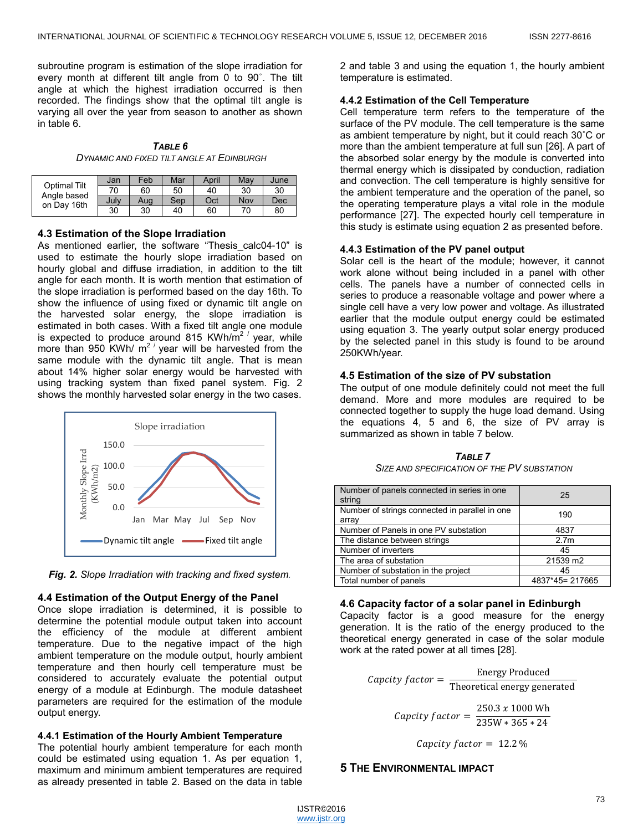subroutine program is estimation of the slope irradiation for every month at different tilt angle from 0 to 90˚. The tilt angle at which the highest irradiation occurred is then recorded. The findings show that the optimal tilt angle is varying all over the year from season to another as shown in table 6.

*TABLE 6 DYNAMIC AND FIXED TILT ANGLE AT EDINBURGH*

|                             | Jan  | Feb | Mar | April | May | June |
|-----------------------------|------|-----|-----|-------|-----|------|
| Optimal Tilt<br>Angle based | 70   | 60  | 50  | 40    | 30  | 30   |
| on Day 16th                 | July | Aug | Sep | Oct   | Nov | Dec  |
|                             | 30   | 30  | 40  | 60    | 70  | 80   |

#### **4.3 Estimation of the Slope Irradiation**

As mentioned earlier, the software "Thesis calc04-10" is used to estimate the hourly slope irradiation based on hourly global and diffuse irradiation, in addition to the tilt angle for each month. It is worth mention that estimation of the slope irradiation is performed based on the day 16th. To show the influence of using fixed or dynamic tilt angle on the harvested solar energy, the slope irradiation is estimated in both cases. With a fixed tilt angle one module is expected to produce around 815 KWh/ $m^2$  year, while more than 950 KWh/  $m^2$  year will be harvested from the same module with the dynamic tilt angle. That is mean about 14% higher solar energy would be harvested with using tracking system than fixed panel system. Fig. 2 shows the monthly harvested solar energy in the two cases.





# **4.4 Estimation of the Output Energy of the Panel**

Once slope irradiation is determined, it is possible to determine the potential module output taken into account the efficiency of the module at different ambient temperature. Due to the negative impact of the high ambient temperature on the module output, hourly ambient temperature and then hourly cell temperature must be considered to accurately evaluate the potential output energy of a module at Edinburgh. The module datasheet parameters are required for the estimation of the module output energy.

#### **4.4.1 Estimation of the Hourly Ambient Temperature**

The potential hourly ambient temperature for each month could be estimated using equation 1. As per equation 1, maximum and minimum ambient temperatures are required as already presented in table 2. Based on the data in table

2 and table 3 and using the equation 1, the hourly ambient temperature is estimated.

## **4.4.2 Estimation of the Cell Temperature**

Cell temperature term refers to the temperature of the surface of the PV module. The cell temperature is the same as ambient temperature by night, but it could reach 30˚C or more than the ambient temperature at full sun [26]. A part of the absorbed solar energy by the module is converted into thermal energy which is dissipated by conduction, radiation and convection. The cell temperature is highly sensitive for the ambient temperature and the operation of the panel, so the operating temperature plays a vital role in the module performance [27]. The expected hourly cell temperature in this study is estimate using equation 2 as presented before.

## **4.4.3 Estimation of the PV panel output**

Solar cell is the heart of the module; however, it cannot work alone without being included in a panel with other cells. The panels have a number of connected cells in series to produce a reasonable voltage and power where a single cell have a very low power and voltage. As illustrated earlier that the module output energy could be estimated using equation 3. The yearly output solar energy produced by the selected panel in this study is found to be around 250KWh/year.

## **4.5 Estimation of the size of PV substation**

The output of one module definitely could not meet the full demand. More and more modules are required to be connected together to supply the huge load demand. Using the equations 4, 5 and 6, the size of PV array is summarized as shown in table 7 below.

*TABLE 7 SIZE AND SPECIFICATION OF THE PV SUBSTATION*

| Number of panels connected in series in one<br>string   | 25               |
|---------------------------------------------------------|------------------|
| Number of strings connected in parallel in one<br>array | 190              |
| Number of Panels in one PV substation                   | 4837             |
| The distance between strings                            | 2.7 <sub>m</sub> |
| Number of inverters                                     | 45               |
| The area of substation                                  | 21539 m2         |
| Number of substation in the project                     | 45               |
| Total number of panels                                  | 4837*45=217665   |

#### **4.6 Capacity factor of a solar panel in Edinburgh**

Capacity factor is a good measure for the energy generation. It is the ratio of the energy produced to the theoretical energy generated in case of the solar module work at the rated power at all times [28].

*Capcity factor* = 
$$
\frac{\text{Energy Provided}}{\text{Theoretical energy generated}}
$$

\n*Capcity factor* =  $\frac{250.3 \times 1000 \text{ Wh}}{235 \text{W} * 365 * 24}$ 

Capcity  $factor = 12.2\%$ 

# **5 THE ENVIRONMENTAL IMPACT**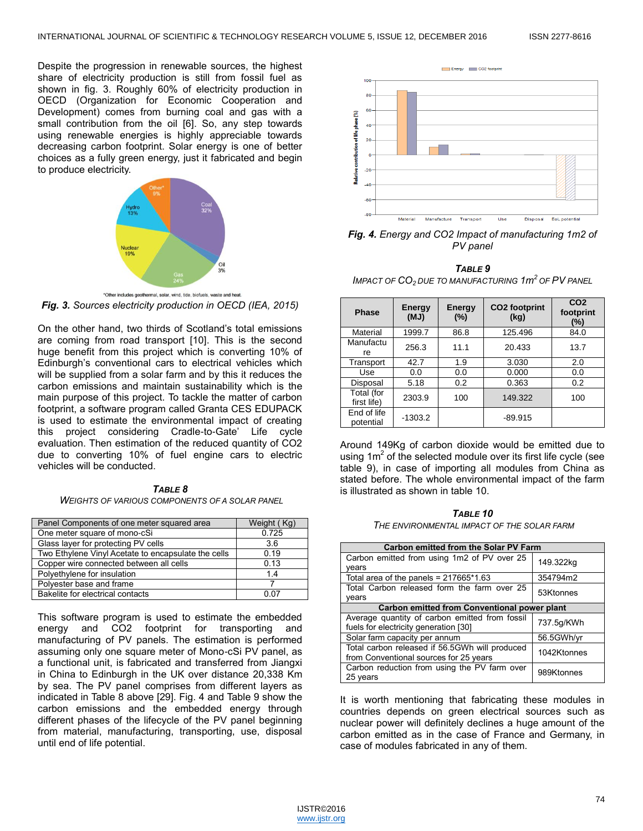Despite the progression in renewable sources, the highest share of electricity production is still from fossil fuel as shown in fig. 3. Roughly 60% of electricity production in OECD (Organization for Economic Cooperation and Development) comes from burning coal and gas with a small contribution from the oil [6]. So, any step towards using renewable energies is highly appreciable towards decreasing carbon footprint. Solar energy is one of better choices as a fully green energy, just it fabricated and begin to produce electricity.



*Fig. 3. Sources electricity production in OECD (IEA, 2015)*

On the other hand, two thirds of Scotland's total emissions are coming from road transport [10]. This is the second huge benefit from this project which is converting 10% of Edinburgh's conventional cars to electrical vehicles which will be supplied from a solar farm and by this it reduces the carbon emissions and maintain sustainability which is the main purpose of this project. To tackle the matter of carbon footprint, a software program called Granta CES EDUPACK is used to estimate the environmental impact of creating this project considering Cradle-to-Gate' Life cycle evaluation. Then estimation of the reduced quantity of CO2 due to converting 10% of fuel engine cars to electric vehicles will be conducted.

*TABLE 8 WEIGHTS OF VARIOUS COMPONENTS OF A SOLAR PANEL* 

| Panel Components of one meter squared area          | Weight (Kg) |
|-----------------------------------------------------|-------------|
| One meter square of mono-cSi                        | 0.725       |
| Glass layer for protecting PV cells                 | 3.6         |
| Two Ethylene Vinyl Acetate to encapsulate the cells | 0.19        |
| Copper wire connected between all cells             | 0.13        |
| Polyethylene for insulation                         | 14          |
| Polyester base and frame                            |             |
| Bakelite for electrical contacts                    |             |

This software program is used to estimate the embedded energy and CO2 footprint for transporting and manufacturing of PV panels. The estimation is performed assuming only one square meter of Mono-cSi PV panel, as a functional unit, is fabricated and transferred from Jiangxi in China to Edinburgh in the UK over distance 20,338 Km by sea. The PV panel comprises from different layers as indicated in Table 8 above [29]. Fig. 4 and Table 9 show the carbon emissions and the embedded energy through different phases of the lifecycle of the PV panel beginning from material, manufacturing, transporting, use, disposal until end of life potential.



*Fig. 4. Energy and CO2 Impact of manufacturing 1m2 of PV panel*

*TABLE 9*

*IMPACT OF CO<sup>2</sup> DUE TO MANUFACTURING 1m 2 OF PV PANEL*

| <b>Phase</b>              | <b>Energy</b><br>(MJ) | <b>Energy</b><br>(%) | CO <sub>2</sub> footprint<br>(kq) | CO <sub>2</sub><br>footprint<br>$(\%)$ |
|---------------------------|-----------------------|----------------------|-----------------------------------|----------------------------------------|
| Material                  | 1999.7                | 86.8                 | 125.496                           | 84.0                                   |
| Manufactu<br>re           | 256.3                 | 11.1                 | 20.433                            | 13.7                                   |
| Transport                 | 42.7                  | 1.9                  | 3.030                             | 2.0                                    |
| Use                       | 0.0                   | 0.0                  | 0.000                             | 0.0                                    |
| Disposal                  | 5.18                  | 0.2                  | 0.363                             | 0.2                                    |
| Total (for<br>first life) | 2303.9                | 100                  | 149.322                           | 100                                    |
| End of life<br>potential  | $-1303.2$             |                      | $-89.915$                         |                                        |

Around 149Kg of carbon dioxide would be emitted due to using  $1m^2$  of the selected module over its first life cycle (see table 9), in case of importing all modules from China as stated before. The whole environmental impact of the farm is illustrated as shown in table 10.

#### *TABLE 10*

*THE ENVIRONMENTAL IMPACT OF THE SOLAR FARM*

| Carbon emitted from the Solar PV Farm                                                    |             |  |  |  |  |  |
|------------------------------------------------------------------------------------------|-------------|--|--|--|--|--|
| Carbon emitted from using 1m2 of PV over 25<br>vears                                     | 149.322kg   |  |  |  |  |  |
| Total area of the panels = $217665*1.63$                                                 | 354794m2    |  |  |  |  |  |
| Total Carbon released form the farm over 25<br>years                                     | 53Ktonnes   |  |  |  |  |  |
| Carbon emitted from Conventional power plant                                             |             |  |  |  |  |  |
| Average quantity of carbon emitted from fossil<br>fuels for electricity generation [30]  | 737.5q/KWh  |  |  |  |  |  |
| Solar farm capacity per annum                                                            | 56.5GWh/yr  |  |  |  |  |  |
| Total carbon released if 56.5GWh will produced<br>from Conventional sources for 25 years | 1042Ktonnes |  |  |  |  |  |
| Carbon reduction from using the PV farm over<br>25 years                                 | 989Ktonnes  |  |  |  |  |  |

It is worth mentioning that fabricating these modules in countries depends on green electrical sources such as nuclear power will definitely declines a huge amount of the carbon emitted as in the case of France and Germany, in case of modules fabricated in any of them.

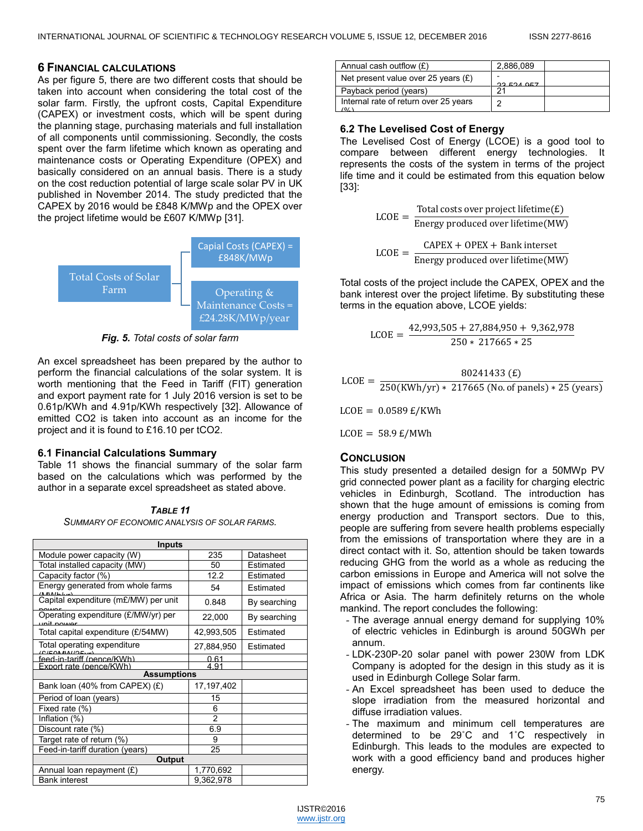## **6 FINANCIAL CALCULATIONS**

As per figure 5, there are two different costs that should be taken into account when considering the total cost of the solar farm. Firstly, the upfront costs, Capital Expenditure (CAPEX) or investment costs, which will be spent during the planning stage, purchasing materials and full installation of all components until commissioning. Secondly, the costs spent over the farm lifetime which known as operating and maintenance costs or Operating Expenditure (OPEX) and basically considered on an annual basis. There is a study on the cost reduction potential of large scale solar PV in UK published in November 2014. The study predicted that the CAPEX by 2016 would be £848 K/MWp and the OPEX over the project lifetime would be £607 K/MWp [31].



*Fig. 5. Total costs of solar farm*

An excel spreadsheet has been prepared by the author to perform the financial calculations of the solar system. It is worth mentioning that the Feed in Tariff (FIT) generation and export payment rate for 1 July 2016 version is set to be 0.61p/KWh and 4.91p/KWh respectively [32]. Allowance of emitted CO2 is taken into account as an income for the project and it is found to £16.10 per tCO2.

# **6.1 Financial Calculations Summary**

Table 11 shows the financial summary of the solar farm based on the calculations which was performed by the author in a separate excel spreadsheet as stated above.

*TABLE 11 SUMMARY OF ECONOMIC ANALYSIS OF SOLAR FARMS.*

| <b>Inputs</b>                        |            |              |  |  |  |  |  |
|--------------------------------------|------------|--------------|--|--|--|--|--|
| Module power capacity (W)            | 235        | Datasheet    |  |  |  |  |  |
| Total installed capacity (MW)        | 50         | Estimated    |  |  |  |  |  |
| Capacity factor (%)                  | 12.2       | Estimated    |  |  |  |  |  |
| Energy generated from whole farms    | 54         | Estimated    |  |  |  |  |  |
| Capital expenditure (m£/MW) per unit | 0.848      | By searching |  |  |  |  |  |
| Operating expenditure (£/MW/yr) per  | 22,000     | By searching |  |  |  |  |  |
| Total capital expenditure (£/54MW)   | 42,993,505 | Estimated    |  |  |  |  |  |
| Total operating expenditure          | 27,884,950 | Estimated    |  |  |  |  |  |
| feed-in-tariff (pence/KWh)           | 0.61       |              |  |  |  |  |  |
| Export rate (pence/KWh)              | 4 Q1       |              |  |  |  |  |  |
| <b>Assumptions</b>                   |            |              |  |  |  |  |  |
| Bank loan (40% from CAPEX) (£)       | 17,197,402 |              |  |  |  |  |  |
| Period of loan (years)               | 15         |              |  |  |  |  |  |
| Fixed rate (%)                       | 6          |              |  |  |  |  |  |
| Inflation (%)                        | 2          |              |  |  |  |  |  |
| Discount rate (%)                    | 6.9        |              |  |  |  |  |  |
| Target rate of return (%)            | 9          |              |  |  |  |  |  |
| Feed-in-tariff duration (years)      | 25         |              |  |  |  |  |  |
| Output                               |            |              |  |  |  |  |  |
| Annual loan repayment (£)            | 1,770,692  |              |  |  |  |  |  |
| <b>Bank interest</b>                 | 9,362,978  |              |  |  |  |  |  |

| Annual cash outflow $(E)$                      | 2,886,089  |
|------------------------------------------------|------------|
| Net present value over 25 years $(E)$          | 22.524.057 |
| Payback period (years)                         | n,         |
| Internal rate of return over 25 years<br>(0/1) | ◠          |

# **6.2 The Levelised Cost of Energy**

The Levelised Cost of Energy (LCOE) is a good tool to compare between different energy technologies. It represents the costs of the system in terms of the project life time and it could be estimated from this equation below [33]:

> $LCOE = \frac{1}{\text{Energy produced over lifetime} (MW)}$ Total costs over project lifetime $(E)$

 $\text{LCOE} = \frac{\text{CAPEX} + \text{OPEX} + \text{Bank intersect}}{\text{Excessnessed area lifetime} (\text{Meas})}$ Energy produced over lifetime(MW)

Total costs of the project include the CAPEX, OPEX and the bank interest over the project lifetime. By substituting these terms in the equation above, LCOE yields:

$$
LCOE = \frac{42,993,505 + 27,884,950 + 9,362,978}{250 * 217665 * 25}
$$

$$
LCOE = \frac{80241433 \text{ (E)}}{250 \text{(KWh/yr)} * 217665 \text{ (No. of panels)} * 25 \text{ (years)}}
$$

 $LCOE = 0.0589 E/KWh$ 

 $LCOE = 58.9 \text{ E}/MWh$ 

# **CONCLUSION**

This study presented a detailed design for a 50MWp PV grid connected power plant as a facility for charging electric vehicles in Edinburgh, Scotland. The introduction has shown that the huge amount of emissions is coming from energy production and Transport sectors. Due to this, people are suffering from severe health problems especially from the emissions of transportation where they are in a direct contact with it. So, attention should be taken towards reducing GHG from the world as a whole as reducing the carbon emissions in Europe and America will not solve the impact of emissions which comes from far continents like Africa or Asia. The harm definitely returns on the whole mankind. The report concludes the following:

- The average annual energy demand for supplying 10% of electric vehicles in Edinburgh is around 50GWh per annum.
- LDK-230P-20 solar panel with power 230W from LDK Company is adopted for the design in this study as it is used in Edinburgh College Solar farm.
- An Excel spreadsheet has been used to deduce the slope irradiation from the measured horizontal and diffuse irradiation values.
- The maximum and minimum cell temperatures are determined to be 29˚C and 1˚C respectively in Edinburgh. This leads to the modules are expected to work with a good efficiency band and produces higher energy.

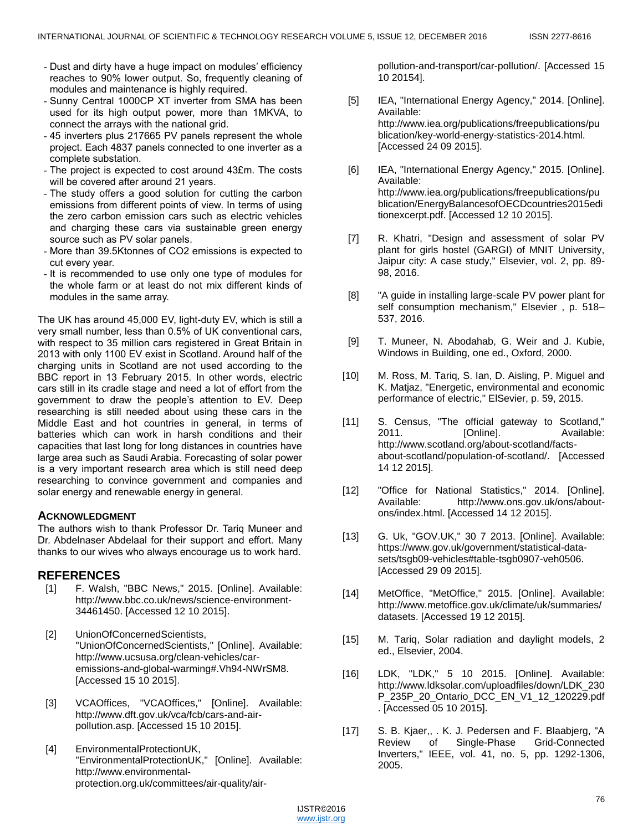- Dust and dirty have a huge impact on modules' efficiency reaches to 90% lower output. So, frequently cleaning of modules and maintenance is highly required.
- Sunny Central 1000CP XT inverter from SMA has been used for its high output power, more than 1MKVA, to connect the arrays with the national grid.
- 45 inverters plus 217665 PV panels represent the whole project. Each 4837 panels connected to one inverter as a complete substation.
- The project is expected to cost around 43£m. The costs will be covered after around 21 years.
- The study offers a good solution for cutting the carbon emissions from different points of view. In terms of using the zero carbon emission cars such as electric vehicles and charging these cars via sustainable green energy source such as PV solar panels.
- More than 39.5Ktonnes of CO2 emissions is expected to cut every year.
- It is recommended to use only one type of modules for the whole farm or at least do not mix different kinds of modules in the same array.

The UK has around 45,000 EV, light-duty EV, which is still a very small number, less than 0.5% of UK conventional cars, with respect to 35 million cars registered in Great Britain in 2013 with only 1100 EV exist in Scotland. Around half of the charging units in Scotland are not used according to the BBC report in 13 February 2015. In other words, electric cars still in its cradle stage and need a lot of effort from the government to draw the people's attention to EV. Deep researching is still needed about using these cars in the Middle East and hot countries in general, in terms of batteries which can work in harsh conditions and their capacities that last long for long distances in countries have large area such as Saudi Arabia. Forecasting of solar power is a very important research area which is still need deep researching to convince government and companies and solar energy and renewable energy in general.

# **ACKNOWLEDGMENT**

The authors wish to thank Professor Dr. Tariq Muneer and Dr. Abdelnaser Abdelaal for their support and effort. Many thanks to our wives who always encourage us to work hard.

# **REFERENCES**

- [1] F. Walsh, "BBC News," 2015. [Online]. Available: http://www.bbc.co.uk/news/science-environment-34461450. [Accessed 12 10 2015].
- [2] UnionOfConcernedScientists, "UnionOfConcernedScientists," [Online]. Available: http://www.ucsusa.org/clean-vehicles/caremissions-and-global-warming#.Vh94-NWrSM8. [Accessed 15 10 2015].
- [3] VCAOffices, "VCAOffices," [Online]. Available: http://www.dft.gov.uk/vca/fcb/cars-and-airpollution.asp. [Accessed 15 10 2015].
- [4] EnvironmentalProtectionUK, "EnvironmentalProtectionUK," [Online]. Available: http://www.environmentalprotection.org.uk/committees/air-quality/air-

pollution-and-transport/car-pollution/. [Accessed 15 10 20154].

- [5] IEA, "International Energy Agency," 2014. [Online]. Available: http://www.iea.org/publications/freepublications/pu blication/key-world-energy-statistics-2014.html. [Accessed 24 09 2015].
- [6] IEA, "International Energy Agency," 2015. [Online]. Available: http://www.iea.org/publications/freepublications/pu blication/EnergyBalancesofOECDcountries2015edi tionexcerpt.pdf. [Accessed 12 10 2015].
- [7] R. Khatri, "Design and assessment of solar PV plant for girls hostel (GARGI) of MNIT University, Jaipur city: A case study," Elsevier, vol. 2, pp. 89- 98, 2016.
- [8] "A guide in installing large-scale PV power plant for self consumption mechanism," Elsevier , p. 518– 537, 2016.
- [9] T. Muneer, N. Abodahab, G. Weir and J. Kubie, Windows in Building, one ed., Oxford, 2000.
- [10] M. Ross, M. Tariq, S. Ian, D. Aisling, P. Miguel and K. Matjaz, "Energetic, environmental and economic performance of electric," ElSevier, p. 59, 2015.
- [11] S. Census, "The official gateway to Scotland," 2011. [Online]. Available: http://www.scotland.org/about-scotland/factsabout-scotland/population-of-scotland/. [Accessed 14 12 2015].
- [12] "Office for National Statistics," 2014. [Online]. Available: http://www.ons.gov.uk/ons/aboutons/index.html. [Accessed 14 12 2015].
- [13] G. Uk, "GOV.UK," 30 7 2013. [Online]. Available: https://www.gov.uk/government/statistical-datasets/tsgb09-vehicles#table-tsgb0907-veh0506. [Accessed 29 09 2015].
- [14] MetOffice, "MetOffice," 2015. [Online]. Available: http://www.metoffice.gov.uk/climate/uk/summaries/ datasets. [Accessed 19 12 2015].
- [15] M. Tariq, Solar radiation and daylight models, 2 ed., Elsevier, 2004.
- [16] LDK, "LDK," 5 10 2015. [Online]. Available: http://www.ldksolar.com/uploadfiles/down/LDK\_230 P\_235P\_20\_Ontario\_DCC\_EN\_V1\_12\_120229.pdf . [Accessed 05 10 2015].
- [17] S. B. Kjaer,, . K. J. Pedersen and F. Blaabjerg, "A Review of Single-Phase Grid-Connected Inverters," IEEE, vol. 41, no. 5, pp. 1292-1306, 2005.